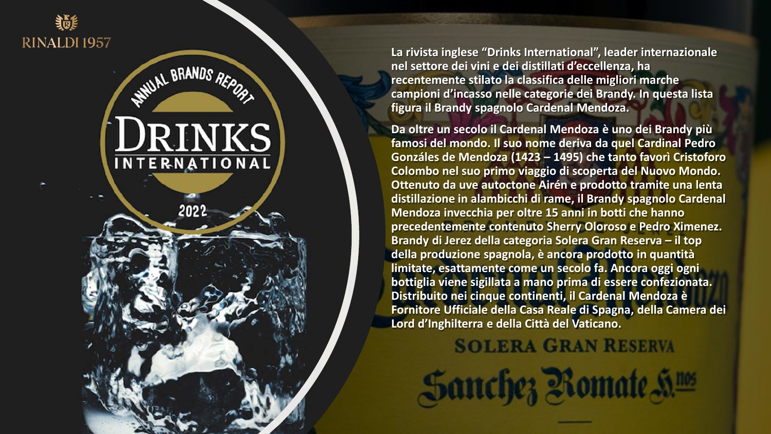

### **DRINKS INTERNATIONAL**

WHUAL BRANDS REPORT

2022

**La rivista inglese "Drinks International", leader internazionale nel settore dei vini e dei distillati d'eccellenza, ha recentemente stilato la classifica delle migliori marche campioni d'incasso nelle categorie dei Brandy. In questa lista figura il Brandy spagnolo Cardenal Mendoza.**

**Da oltre un secolo il Cardenal Mendoza è uno dei Brandy più famosi del mondo. Il suo nome deriva da quel Cardinal Pedro Gonzáles de Mendoza (1423 – 1495) che tanto favorì Cristoforo Colombo nel suo primo viaggio di scoperta del Nuovo Mondo. Ottenuto da uve autoctone Airén e prodotto tramite una lenta distillazione in alambicchi di rame, il Brandy spagnolo Cardenal Mendoza invecchia per oltre 15 anni in botti che hanno precedentemente contenuto Sherry Oloroso e Pedro Ximenez. Brandy di Jerez della categoria Solera Gran Reserva – il top della produzione spagnola, è ancora prodotto in quantità limitate, esattamente come un secolo fa. Ancora oggi ogni bottiglia viene sigillata a mano prima di essere confezionata. Distribuito nei cinque continenti, il Cardenal Mendoza è Fornitore Ufficiale della Casa Reale di Spagna, della Camera dei Lord d'Inghilterra e della Città del Vaticano.**

**SOLERA GRAN RESERVA Sanchez Romate S**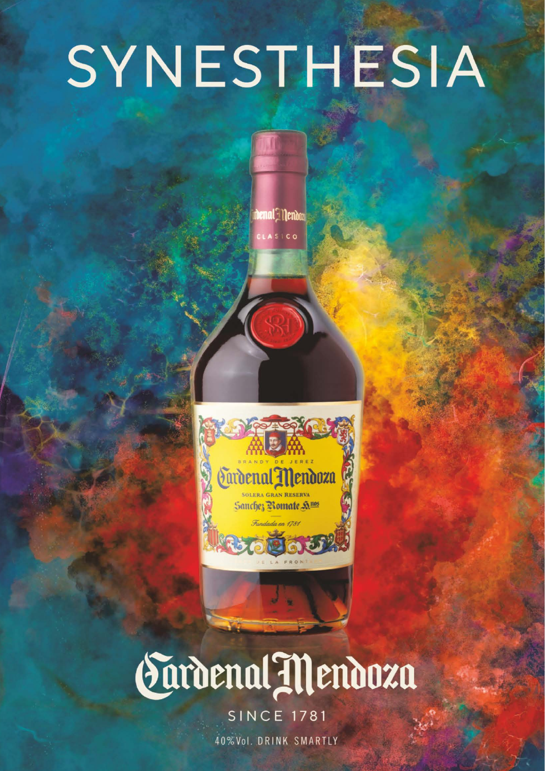## SYNESTHESIA

denal Mendoz

ASICO

Turdenal Mendoza **SOLERA GRAN RESERVA** Sanchez Romate A.105 Fundada en 1781

## Sardenal Mendoza

**SINCE 1781** 

40%Vol. DRINK SMARTLY